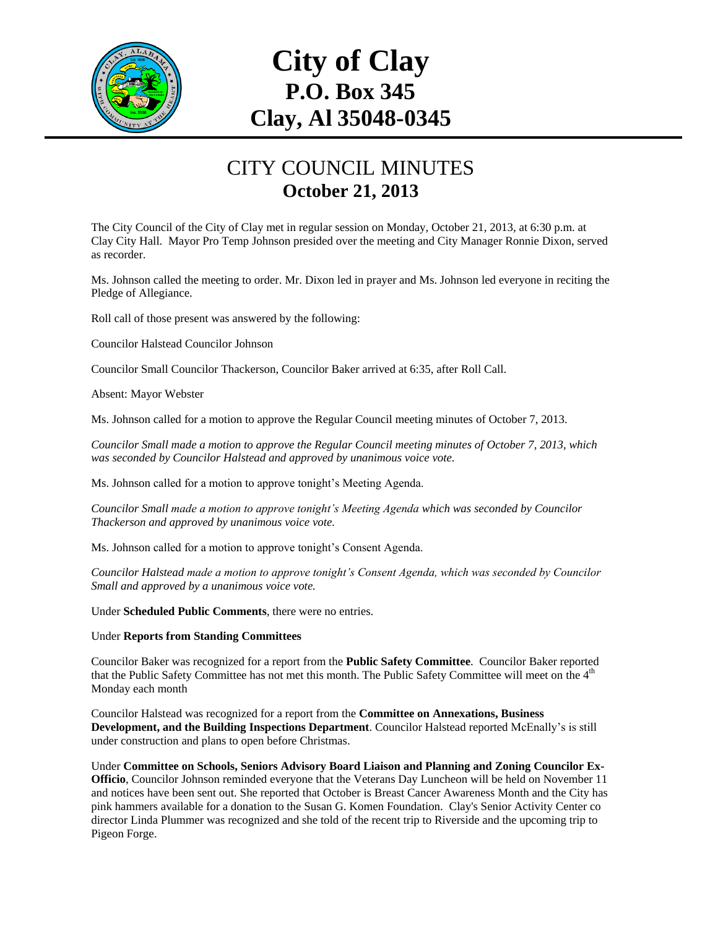

## **City of Clay P.O. Box 345 Clay, Al 35048-0345**

## CITY COUNCIL MINUTES **October 21, 2013**

The City Council of the City of Clay met in regular session on Monday, October 21, 2013, at 6:30 p.m. at Clay City Hall. Mayor Pro Temp Johnson presided over the meeting and City Manager Ronnie Dixon, served as recorder.

Ms. Johnson called the meeting to order. Mr. Dixon led in prayer and Ms. Johnson led everyone in reciting the Pledge of Allegiance.

Roll call of those present was answered by the following:

Councilor Halstead Councilor Johnson

Councilor Small Councilor Thackerson, Councilor Baker arrived at 6:35, after Roll Call.

Absent: Mayor Webster

Ms. Johnson called for a motion to approve the Regular Council meeting minutes of October 7, 2013.

*Councilor Small made a motion to approve the Regular Council meeting minutes of October 7, 2013, which was seconded by Councilor Halstead and approved by unanimous voice vote.*

Ms. Johnson called for a motion to approve tonight's Meeting Agenda.

*Councilor Small made a motion to approve tonight's Meeting Agenda which was seconded by Councilor Thackerson and approved by unanimous voice vote.*

Ms. Johnson called for a motion to approve tonight's Consent Agenda.

*Councilor Halstead made a motion to approve tonight's Consent Agenda, which was seconded by Councilor Small and approved by a unanimous voice vote.*

Under **Scheduled Public Comments**, there were no entries.

## Under **Reports from Standing Committees**

Councilor Baker was recognized for a report from the **Public Safety Committee**. Councilor Baker reported that the Public Safety Committee has not met this month. The Public Safety Committee will meet on the 4<sup>th</sup> Monday each month

Councilor Halstead was recognized for a report from the **Committee on Annexations, Business Development, and the Building Inspections Department**. Councilor Halstead reported McEnally's is still under construction and plans to open before Christmas.

Under **Committee on Schools, Seniors Advisory Board Liaison and Planning and Zoning Councilor Ex-Officio**, Councilor Johnson reminded everyone that the Veterans Day Luncheon will be held on November 11 and notices have been sent out. She reported that October is Breast Cancer Awareness Month and the City has pink hammers available for a donation to the Susan G. Komen Foundation. Clay's Senior Activity Center co director Linda Plummer was recognized and she told of the recent trip to Riverside and the upcoming trip to Pigeon Forge.